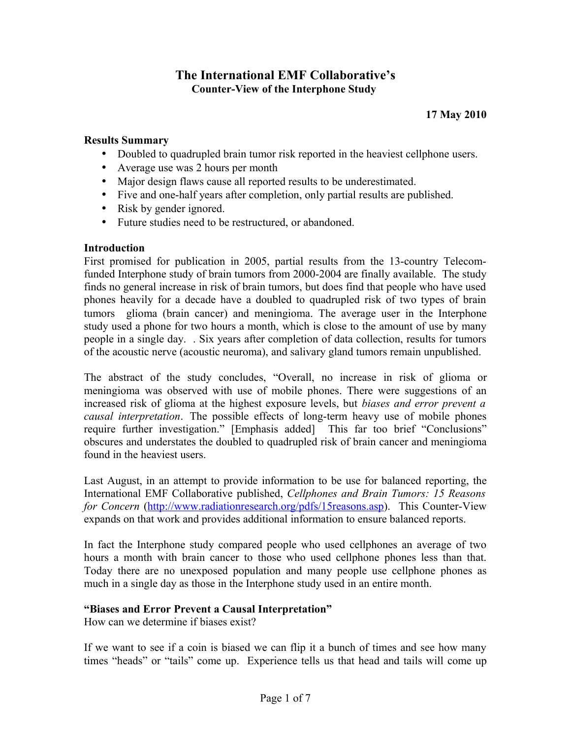## **Results Summary**

- Doubled to quadrupled brain tumor risk reported in the heaviest cellphone users.
- Average use was 2 hours per month
- Major design flaws cause all reported results to be underestimated.
- Five and one-half years after completion, only partial results are published.
- Risk by gender ignored.
- Future studies need to be restructured, or abandoned.

### **Introduction**

First promised for publication in 2005, partial results from the 13-country Telecomfunded Interphone study of brain tumors from 2000-2004 are finally available. The study finds no general increase in risk of brain tumors, but does find that people who have used phones heavily for a decade have a doubled to quadrupled risk of two types of brain tumors—glioma (brain cancer) and meningioma. The average user in the Interphone study used a phone for two hours a month, which is close to the amount of use by many people in a single day. . Six years after completion of data collection, results for tumors of the acoustic nerve (acoustic neuroma), and salivary gland tumors remain unpublished.

The abstract of the study concludes, "Overall, no increase in risk of glioma or meningioma was observed with use of mobile phones. There were suggestions of an increased risk of glioma at the highest exposure levels, but *biases and error prevent a causal interpretation*. The possible effects of long-term heavy use of mobile phones require further investigation." [Emphasis added] This far too brief "Conclusions" obscures and understates the doubled to quadrupled risk of brain cancer and meningioma found in the heaviest users.

Last August, in an attempt to provide information to be use for balanced reporting, the International EMF Collaborative published, *Cellphones and Brain Tumors: 15 Reasons for Concern* [\(http://www.radiationresearch.org/pdfs/15reasons.asp\)](http://www.radiationresearch.org/pdfs/15reasons.asp). This Counter-View expands on that work and provides additional information to ensure balanced reports.

In fact the Interphone study compared people who used cellphones an average of two hours a month with brain cancer to those who used cellphone phones less than that. Today there are no unexposed population and many people use cellphone phones as much in a single day as those in the Interphone study used in an entire month.

## **"Biases and Error Prevent a Causal Interpretation"**

How can we determine if biases exist?

If we want to see if a coin is biased we can flip it a bunch of times and see how many times "heads" or "tails" come up. Experience tells us that head and tails will come up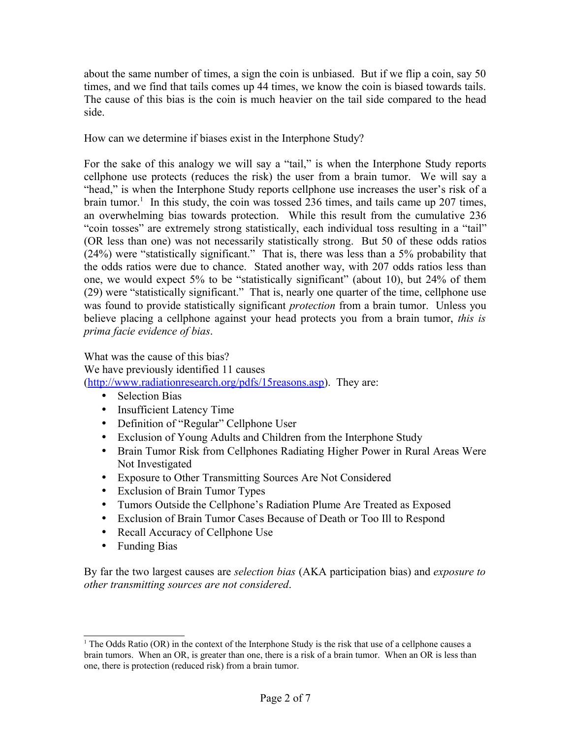about the same number of times, a sign the coin is unbiased. But if we flip a coin, say 50 times, and we find that tails comes up 44 times, we know the coin is biased towards tails. The cause of this bias is the coin is much heavier on the tail side compared to the head side.

How can we determine if biases exist in the Interphone Study?

For the sake of this analogy we will say a "tail," is when the Interphone Study reports cellphone use protects (reduces the risk) the user from a brain tumor. We will say a "head," is when the Interphone Study reports cellphone use increases the user's risk of a brain tumor.<sup>[1](#page-1-0)</sup> In this study, the coin was tossed 236 times, and tails came up 207 times, an overwhelming bias towards protection. While this result from the cumulative 236 "coin tosses" are extremely strong statistically, each individual toss resulting in a "tail" (OR less than one) was not necessarily statistically strong. But 50 of these odds ratios (24%) were "statistically significant." That is, there was less than a 5% probability that the odds ratios were due to chance. Stated another way, with 207 odds ratios less than one, we would expect 5% to be "statistically significant" (about 10), but 24% of them (29) were "statistically significant." That is, nearly one quarter of the time, cellphone use was found to provide statistically significant *protection* from a brain tumor. Unless you believe placing a cellphone against your head protects you from a brain tumor, *this is prima facie evidence of bias*.

What was the cause of this bias? We have previously identified 11 causes [\(http://www.radiationresearch.org/pdfs/15reasons.asp\)](http://www.radiationresearch.org/pdfs/15reasons.asp). They are:

- Selection Bias
- Insufficient Latency Time
- Definition of "Regular" Cellphone User
- Exclusion of Young Adults and Children from the Interphone Study
- Brain Tumor Risk from Cellphones Radiating Higher Power in Rural Areas Were Not Investigated
- Exposure to Other Transmitting Sources Are Not Considered
- Exclusion of Brain Tumor Types
- Tumors Outside the Cellphone's Radiation Plume Are Treated as Exposed
- Exclusion of Brain Tumor Cases Because of Death or Too Ill to Respond
- Recall Accuracy of Cellphone Use
- Funding Bias

By far the two largest causes are *selection bias* (AKA participation bias) and *exposure to other transmitting sources are not considered*.

<span id="page-1-0"></span><sup>&</sup>lt;sup>1</sup> The Odds Ratio (OR) in the context of the Interphone Study is the risk that use of a cellphone causes a brain tumors. When an OR, is greater than one, there is a risk of a brain tumor. When an OR is less than one, there is protection (reduced risk) from a brain tumor.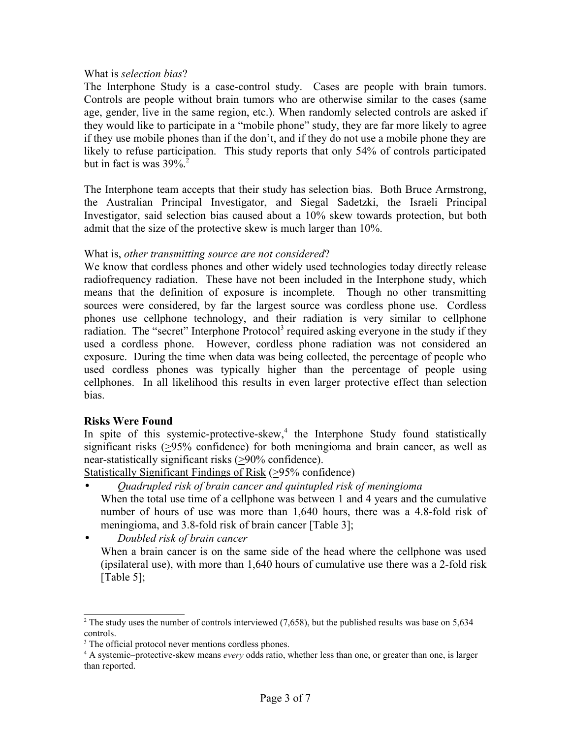#### What is *selection bias*?

The Interphone Study is a case-control study. Cases are people with brain tumors. Controls are people without brain tumors who are otherwise similar to the cases (same age, gender, live in the same region, etc.). When randomly selected controls are asked if they would like to participate in a "mobile phone" study, they are far more likely to agree if they use mobile phones than if the don't, and if they do not use a mobile phone they are likely to refuse participation. This study reports that only 54% of controls participated but in fact is was  $39\%$ <sup>[2](#page-2-0)</sup>.

The Interphone team accepts that their study has selection bias. Both Bruce Armstrong, the Australian Principal Investigator, and Siegal Sadetzki, the Israeli Principal Investigator, said selection bias caused about a 10% skew towards protection, but both admit that the size of the protective skew is much larger than 10%.

#### What is, *other transmitting source are not considered*?

We know that cordless phones and other widely used technologies today directly release radiofrequency radiation. These have not been included in the Interphone study, which means that the definition of exposure is incomplete. Though no other transmitting sources were considered, by far the largest source was cordless phone use. Cordless phones use cellphone technology, and their radiation is very similar to cellphone radiation. The "secret" Interphone Protocol<sup>[3](#page-2-1)</sup> required asking everyone in the study if they used a cordless phone. However, cordless phone radiation was not considered an exposure. During the time when data was being collected, the percentage of people who used cordless phones was typically higher than the percentage of people using cellphones. In all likelihood this results in even larger protective effect than selection bias.

#### **Risks Were Found**

In spite of this systemic-protective-skew,<sup>[4](#page-2-2)</sup> the Interphone Study found statistically significant risks (>95% confidence) for both meningioma and brain cancer, as well as near-statistically significant risks (>90% confidence).

Statistically Significant Findings of Risk  $(≥95%$  confidence)

• *Quadrupled risk of brain cancer and quintupled risk of meningioma* When the total use time of a cellphone was between 1 and 4 years and the cumulative number of hours of use was more than 1,640 hours, there was a 4.8-fold risk of meningioma, and 3.8-fold risk of brain cancer [Table 3];

• *Doubled risk of brain cancer* When a brain cancer is on the same side of the head where the cellphone was used (ipsilateral use), with more than 1,640 hours of cumulative use there was a 2-fold risk [Table 5];

<span id="page-2-0"></span><sup>&</sup>lt;sup>2</sup> The study uses the number of controls interviewed (7,658), but the published results was base on 5,634 controls.

<span id="page-2-1"></span><sup>&</sup>lt;sup>3</sup> The official protocol never mentions cordless phones.

<span id="page-2-2"></span><sup>4</sup> A systemic–protective-skew means *every* odds ratio, whether less than one, or greater than one, is larger than reported.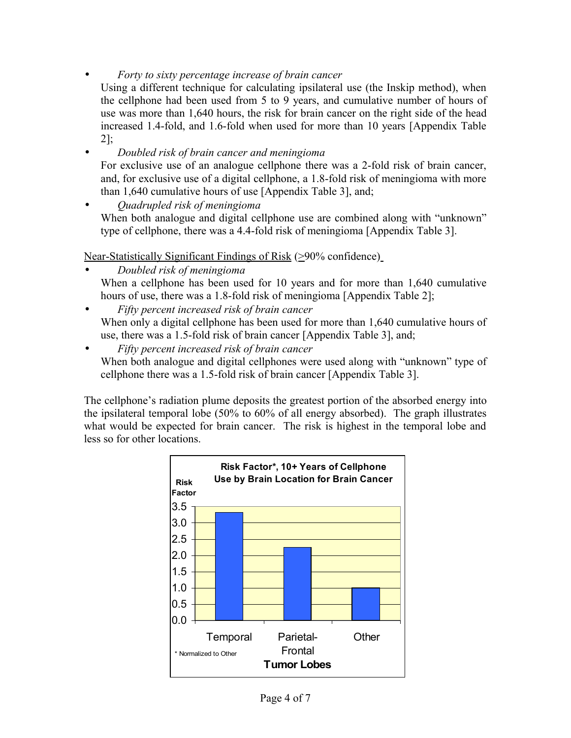• *Forty to sixty percentage increase of brain cancer*

Using a different technique for calculating ipsilateral use (the Inskip method), when the cellphone had been used from 5 to 9 years, and cumulative number of hours of use was more than 1,640 hours, the risk for brain cancer on the right side of the head increased 1.4-fold, and 1.6-fold when used for more than 10 years [Appendix Table 2];

• *Doubled risk of brain cancer and meningioma* For exclusive use of an analogue cellphone there was a 2-fold risk of brain cancer, and, for exclusive use of a digital cellphone, a 1.8-fold risk of meningioma with more than 1,640 cumulative hours of use [Appendix Table 3], and;

• *Quadrupled risk of meningioma* When both analogue and digital cellphone use are combined along with "unknown" type of cellphone, there was a 4.4-fold risk of meningioma [Appendix Table 3].

Near-Statistically Significant Findings of Risk  $(≥90%$  confidence)

- *Doubled risk of meningioma* When a cellphone has been used for 10 years and for more than 1,640 cumulative hours of use, there was a 1.8-fold risk of meningioma [Appendix Table 2];
- *Fifty percent increased risk of brain cancer* When only a digital cellphone has been used for more than 1,640 cumulative hours of use, there was a 1.5-fold risk of brain cancer [Appendix Table 3], and;
- *Fifty percent increased risk of brain cancer* When both analogue and digital cellphones were used along with "unknown" type of cellphone there was a 1.5-fold risk of brain cancer [Appendix Table 3].

The cellphone's radiation plume deposits the greatest portion of the absorbed energy into the ipsilateral temporal lobe (50% to 60% of all energy absorbed). The graph illustrates what would be expected for brain cancer. The risk is highest in the temporal lobe and less so for other locations.

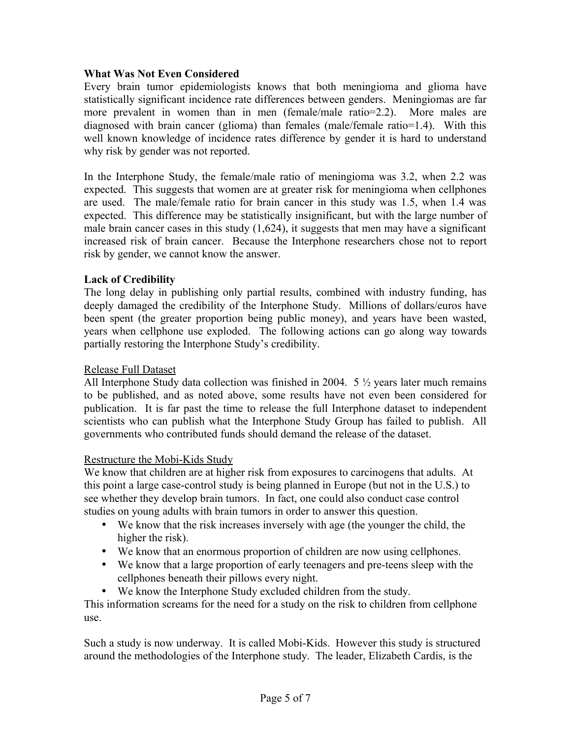## **What Was Not Even Considered**

Every brain tumor epidemiologists knows that both meningioma and glioma have statistically significant incidence rate differences between genders. Meningiomas are far more prevalent in women than in men (female/male ratio=2.2). More males are diagnosed with brain cancer (glioma) than females (male/female ratio=1.4). With this well known knowledge of incidence rates difference by gender it is hard to understand why risk by gender was not reported.

In the Interphone Study, the female/male ratio of meningioma was 3.2, when 2.2 was expected. This suggests that women are at greater risk for meningioma when cellphones are used. The male/female ratio for brain cancer in this study was 1.5, when 1.4 was expected. This difference may be statistically insignificant, but with the large number of male brain cancer cases in this study  $(1,624)$ , it suggests that men may have a significant increased risk of brain cancer. Because the Interphone researchers chose not to report risk by gender, we cannot know the answer.

### **Lack of Credibility**

The long delay in publishing only partial results, combined with industry funding, has deeply damaged the credibility of the Interphone Study. Millions of dollars/euros have been spent (the greater proportion being public money), and years have been wasted, years when cellphone use exploded. The following actions can go along way towards partially restoring the Interphone Study's credibility.

#### Release Full Dataset

All Interphone Study data collection was finished in 2004.  $5\frac{1}{2}$  years later much remains to be published, and as noted above, some results have not even been considered for publication. It is far past the time to release the full Interphone dataset to independent scientists who can publish what the Interphone Study Group has failed to publish. All governments who contributed funds should demand the release of the dataset.

#### Restructure the Mobi-Kids Study

We know that children are at higher risk from exposures to carcinogens that adults. At this point a large case-control study is being planned in Europe (but not in the U.S.) to see whether they develop brain tumors. In fact, one could also conduct case control studies on young adults with brain tumors in order to answer this question.

- We know that the risk increases inversely with age (the younger the child, the higher the risk).
- We know that an enormous proportion of children are now using cellphones.
- We know that a large proportion of early teenagers and pre-teens sleep with the cellphones beneath their pillows every night.
- We know the Interphone Study excluded children from the study.

This information screams for the need for a study on the risk to children from cellphone use.

Such a study is now underway. It is called Mobi-Kids. However this study is structured around the methodologies of the Interphone study. The leader, Elizabeth Cardis, is the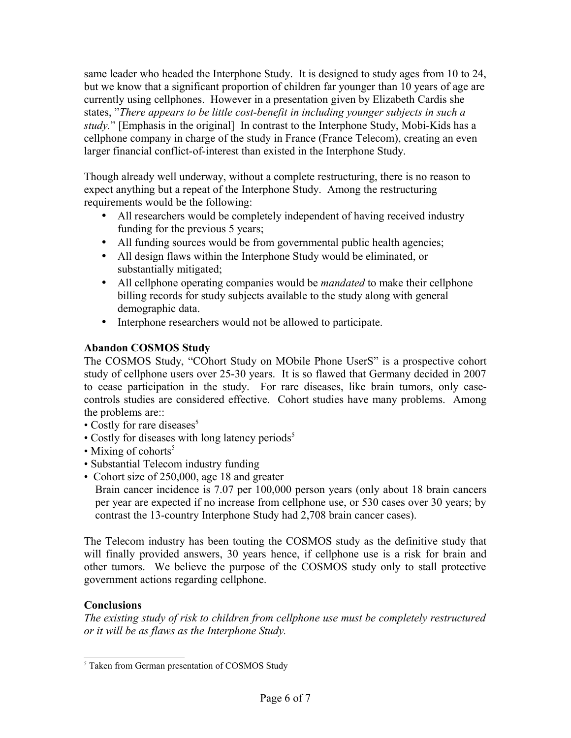same leader who headed the Interphone Study. It is designed to study ages from 10 to 24, but we know that a significant proportion of children far younger than 10 years of age are currently using cellphones. However in a presentation given by Elizabeth Cardis she states, "*There appears to be little cost-benefit in including younger subjects in such a study.*" [Emphasis in the original] In contrast to the Interphone Study, Mobi-Kids has a cellphone company in charge of the study in France (France Telecom), creating an even larger financial conflict-of-interest than existed in the Interphone Study.

Though already well underway, without a complete restructuring, there is no reason to expect anything but a repeat of the Interphone Study. Among the restructuring requirements would be the following:

- All researchers would be completely independent of having received industry funding for the previous 5 years;
- All funding sources would be from governmental public health agencies;
- All design flaws within the Interphone Study would be eliminated, or substantially mitigated;
- All cellphone operating companies would be *mandated* to make their cellphone billing records for study subjects available to the study along with general demographic data.
- Interphone researchers would not be allowed to participate.

# **Abandon COSMOS Study**

The COSMOS Study, "COhort Study on MObile Phone UserS" is a prospective cohort study of cellphone users over 25-30 years. It is so flawed that Germany decided in 2007 to cease participation in the study. For rare diseases, like brain tumors, only casecontrols studies are considered effective. Cohort studies have many problems. Among the problems are::

- Costly for rare diseases $<sup>5</sup>$  $<sup>5</sup>$  $<sup>5</sup>$ </sup>
- Costly for diseases with long latency periods<sup>5</sup>
- Mixing of cohorts<sup>5</sup>
- Substantial Telecom industry funding
- Cohort size of 250,000, age 18 and greater

Brain cancer incidence is 7.07 per 100,000 person years (only about 18 brain cancers per year are expected if no increase from cellphone use, or 530 cases over 30 years; by contrast the 13-country Interphone Study had 2,708 brain cancer cases).

The Telecom industry has been touting the COSMOS study as the definitive study that will finally provided answers, 30 years hence, if cellphone use is a risk for brain and other tumors. We believe the purpose of the COSMOS study only to stall protective government actions regarding cellphone.

# **Conclusions**

*The existing study of risk to children from cellphone use must be completely restructured or it will be as flaws as the Interphone Study.*

<span id="page-5-0"></span><sup>&</sup>lt;sup>5</sup> Taken from German presentation of COSMOS Study